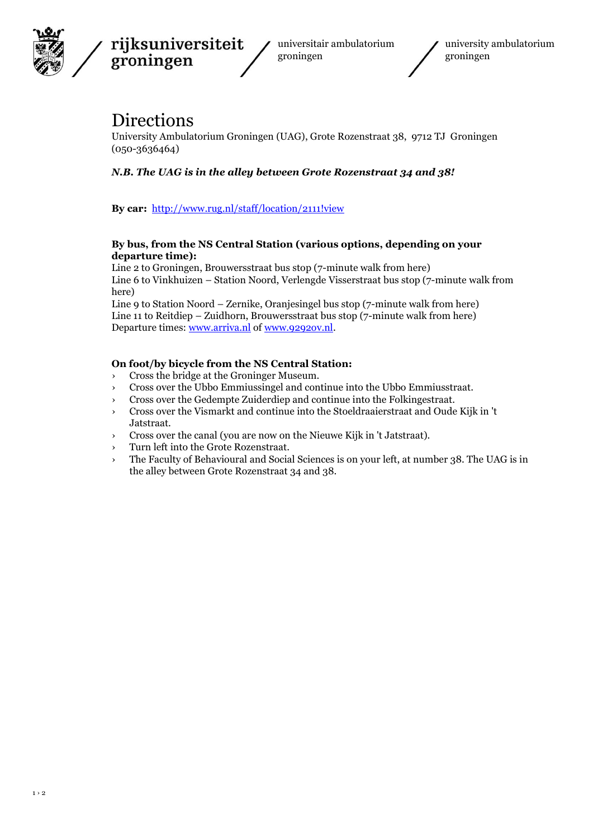

rijksuniversiteit groningen

universitair ambulatorium groningen



## Directions

University Ambulatorium Groningen (UAG), Grote Rozenstraat 38, 9712 TJ Groningen (050-3636464)

## *N.B. The UAG is in the alley between Grote Rozenstraat 34 and 38!*

**By car:**<http://www.rug.nl/staff/location/2111!view>

## **By bus, from the NS Central Station (various options, depending on your departure time):**

Line 2 to Groningen, Brouwersstraat bus stop (7-minute walk from here) Line 6 to Vinkhuizen – Station Noord, Verlengde Visserstraat bus stop (7-minute walk from here)

Line 9 to Station Noord – Zernike, Oranjesingel bus stop (7-minute walk from here) Line 11 to Reitdiep – Zuidhorn, Brouwersstraat bus stop (7-minute walk from here) Departure times[: www.arriva.nl](http://www.arriva.nl/) of [www.9292ov.nl.](http://www.9292ov.nl/)

## **On foot/by bicycle from the NS Central Station:**

- › Cross the bridge at the Groninger Museum.
- › Cross over the Ubbo Emmiussingel and continue into the Ubbo Emmiusstraat.
- › Cross over the Gedempte Zuiderdiep and continue into the Folkingestraat.
- › Cross over the Vismarkt and continue into the Stoeldraaierstraat and Oude Kijk in 't Jatstraat.
- › Cross over the canal (you are now on the Nieuwe Kijk in 't Jatstraat).
- › Turn left into the Grote Rozenstraat.
- › The Faculty of Behavioural and Social Sciences is on your left, at number 38. The UAG is in the alley between Grote Rozenstraat 34 and 38.